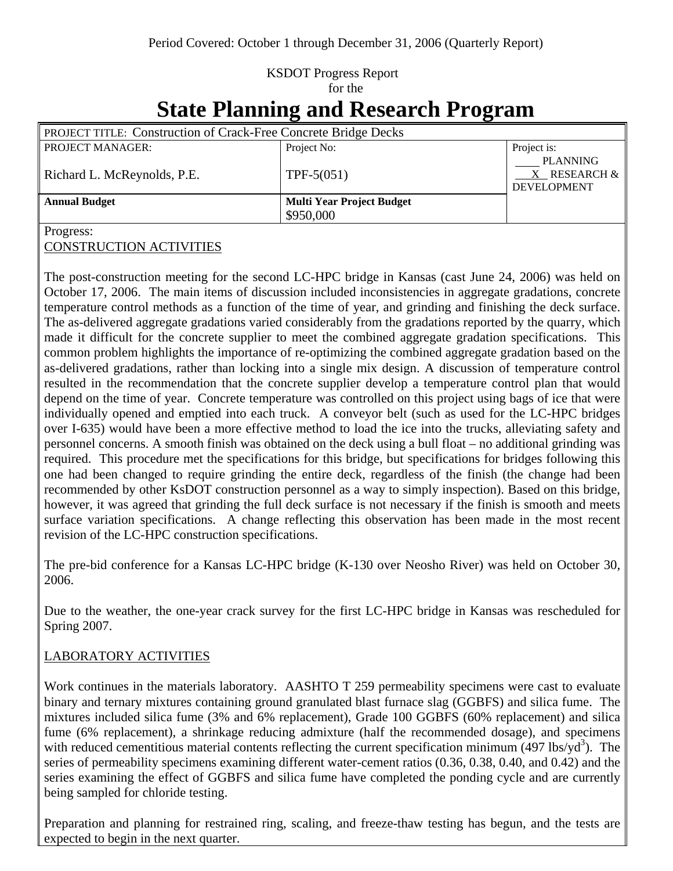# KSDOT Progress Report for the

# **State Planning and Research Program**

| <b>PROJECT TITLE: Construction of Crack-Free Concrete Bridge Decks</b> |                                  |                                                          |
|------------------------------------------------------------------------|----------------------------------|----------------------------------------------------------|
| <b>PROJECT MANAGER:</b>                                                | Project No:                      | Project is:                                              |
| Richard L. McReynolds, P.E.                                            | TPF- $5(051)$                    | <b>PLANNING</b><br>X RESEARCH $\&$<br><b>DEVELOPMENT</b> |
| <b>Annual Budget</b>                                                   | <b>Multi Year Project Budget</b> |                                                          |
|                                                                        | \$950,000                        |                                                          |
| $\sqrt{ }$                                                             |                                  |                                                          |

Progress:

CONSTRUCTION ACTIVITIES

The post-construction meeting for the second LC-HPC bridge in Kansas (cast June 24, 2006) was held on October 17, 2006. The main items of discussion included inconsistencies in aggregate gradations, concrete temperature control methods as a function of the time of year, and grinding and finishing the deck surface. The as-delivered aggregate gradations varied considerably from the gradations reported by the quarry, which made it difficult for the concrete supplier to meet the combined aggregate gradation specifications. This common problem highlights the importance of re-optimizing the combined aggregate gradation based on the as-delivered gradations, rather than locking into a single mix design. A discussion of temperature control resulted in the recommendation that the concrete supplier develop a temperature control plan that would depend on the time of year. Concrete temperature was controlled on this project using bags of ice that were individually opened and emptied into each truck. A conveyor belt (such as used for the LC-HPC bridges over I-635) would have been a more effective method to load the ice into the trucks, alleviating safety and personnel concerns. A smooth finish was obtained on the deck using a bull float – no additional grinding was required. This procedure met the specifications for this bridge, but specifications for bridges following this one had been changed to require grinding the entire deck, regardless of the finish (the change had been recommended by other KsDOT construction personnel as a way to simply inspection). Based on this bridge, however, it was agreed that grinding the full deck surface is not necessary if the finish is smooth and meets surface variation specifications. A change reflecting this observation has been made in the most recent revision of the LC-HPC construction specifications.

The pre-bid conference for a Kansas LC-HPC bridge (K-130 over Neosho River) was held on October 30, 2006.

Due to the weather, the one-year crack survey for the first LC-HPC bridge in Kansas was rescheduled for Spring 2007.

# LABORATORY ACTIVITIES

Work continues in the materials laboratory. AASHTO T 259 permeability specimens were cast to evaluate binary and ternary mixtures containing ground granulated blast furnace slag (GGBFS) and silica fume. The mixtures included silica fume (3% and 6% replacement), Grade 100 GGBFS (60% replacement) and silica fume (6% replacement), a shrinkage reducing admixture (half the recommended dosage), and specimens with reduced cementitious material contents reflecting the current specification minimum  $(497 \text{ lbs/yd}^3)$ . The series of permeability specimens examining different water-cement ratios (0.36, 0.38, 0.40, and 0.42) and the series examining the effect of GGBFS and silica fume have completed the ponding cycle and are currently being sampled for chloride testing.

Preparation and planning for restrained ring, scaling, and freeze-thaw testing has begun, and the tests are expected to begin in the next quarter.